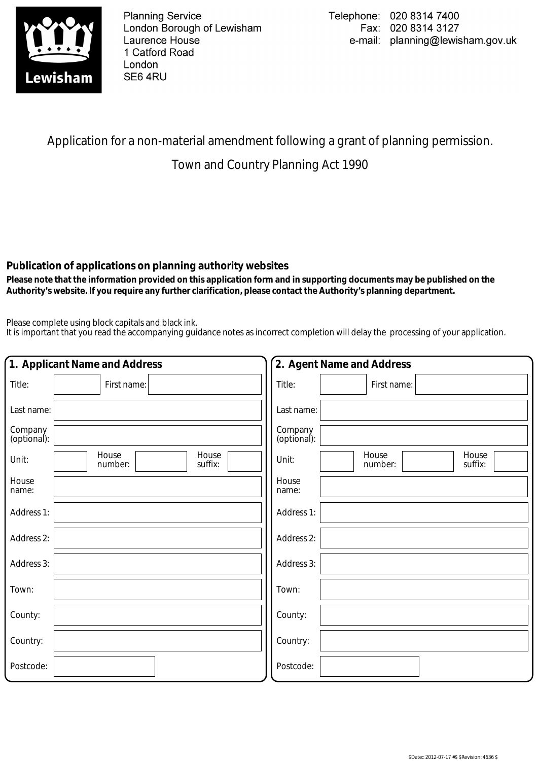

**Planning Service** London Borough of Lewisham Laurence House 1 Catford Road London SE6 4RU

## Application for a non-material amendment following a grant of planning permission.

## Town and Country Planning Act 1990

## **Publication of applications on planning authority websites**

 **Please note that the information provided on this application form and in supporting documents may be published on the Authority's website. If you require any further clarification, please contact the Authority's planning department.**

Please complete using block capitals and black ink.

It is important that you read the accompanying guidance notes as incorrect completion will delay the processing of your application.

| 1. Applicant Name and Address                 | 2. Agent Name and Address                     |
|-----------------------------------------------|-----------------------------------------------|
| Title:<br>First name:                         | Title:<br>First name:                         |
| Last name:                                    | Last name:                                    |
| Company<br>(optional):                        | Company<br>(optional):                        |
| House<br>House<br>Unit:<br>suffix:<br>number: | House<br>House<br>Unit:<br>suffix:<br>number: |
| House<br>name:                                | House<br>name:                                |
| Address 1:                                    | Address 1:                                    |
| Address 2:                                    | Address 2:                                    |
| Address 3:                                    | Address 3:                                    |
| Town:                                         | Town:                                         |
| County:                                       | County:                                       |
| Country:                                      | Country:                                      |
| Postcode:                                     | Postcode:                                     |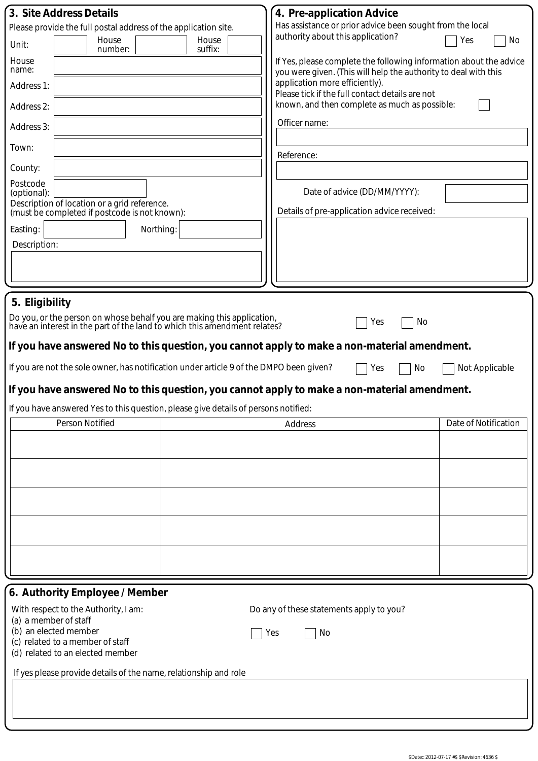|                                                                                                                        | 4. Pre-application Advice                                                                                                             |                      |
|------------------------------------------------------------------------------------------------------------------------|---------------------------------------------------------------------------------------------------------------------------------------|----------------------|
| 3. Site Address Details<br>Please provide the full postal address of the application site.                             | Has assistance or prior advice been sought from the local                                                                             |                      |
| House<br>House<br>Unit:<br>suffix:<br>number:                                                                          | authority about this application?                                                                                                     | Yes<br>No            |
| House<br>name:                                                                                                         | If Yes, please complete the following information about the advice<br>you were given. (This will help the authority to deal with this |                      |
| Address 1:                                                                                                             | application more efficiently).<br>Please tick if the full contact details are not                                                     |                      |
| Address 2:                                                                                                             | known, and then complete as much as possible:                                                                                         |                      |
| Address 3:                                                                                                             | Officer name:                                                                                                                         |                      |
| Town:                                                                                                                  | Reference:                                                                                                                            |                      |
| County:                                                                                                                |                                                                                                                                       |                      |
| Postcode<br>(optional):                                                                                                | Date of advice (DD/MM/YYYY):                                                                                                          |                      |
| Description of location or a grid reference.<br>(must be completed if postcode is not known):                          | Details of pre-application advice received:                                                                                           |                      |
| Easting:<br>Northing:<br>Description:                                                                                  |                                                                                                                                       |                      |
|                                                                                                                        |                                                                                                                                       |                      |
|                                                                                                                        |                                                                                                                                       |                      |
| 5. Eligibility                                                                                                         |                                                                                                                                       |                      |
| Do you, or the person on whose behalf you are making this application,                                                 |                                                                                                                                       |                      |
| have an interest in the part of the land to which this amendment relates?                                              | Yes<br>No                                                                                                                             |                      |
| If you have answered No to this question, you cannot apply to make a non-material amendment.                           |                                                                                                                                       |                      |
| If you are not the sole owner, has notification under article 9 of the DMPO been given?                                | Yes<br>No                                                                                                                             | Not Applicable       |
|                                                                                                                        |                                                                                                                                       |                      |
| If you have answered No to this question, you cannot apply to make a non-material amendment.                           |                                                                                                                                       |                      |
|                                                                                                                        |                                                                                                                                       |                      |
| If you have answered Yes to this question, please give details of persons notified:                                    |                                                                                                                                       |                      |
| Person Notified                                                                                                        | Address                                                                                                                               | Date of Notification |
|                                                                                                                        |                                                                                                                                       |                      |
|                                                                                                                        |                                                                                                                                       |                      |
|                                                                                                                        |                                                                                                                                       |                      |
|                                                                                                                        |                                                                                                                                       |                      |
|                                                                                                                        |                                                                                                                                       |                      |
|                                                                                                                        |                                                                                                                                       |                      |
|                                                                                                                        |                                                                                                                                       |                      |
|                                                                                                                        |                                                                                                                                       |                      |
|                                                                                                                        |                                                                                                                                       |                      |
| 6. Authority Employee / Member<br>With respect to the Authority, I am:                                                 | Do any of these statements apply to you?                                                                                              |                      |
| (a) a member of staff<br>(b) an elected member<br>(c) related to a member of staff<br>(d) related to an elected member | No<br>Yes                                                                                                                             |                      |
| If yes please provide details of the name, relationship and role                                                       |                                                                                                                                       |                      |
|                                                                                                                        |                                                                                                                                       |                      |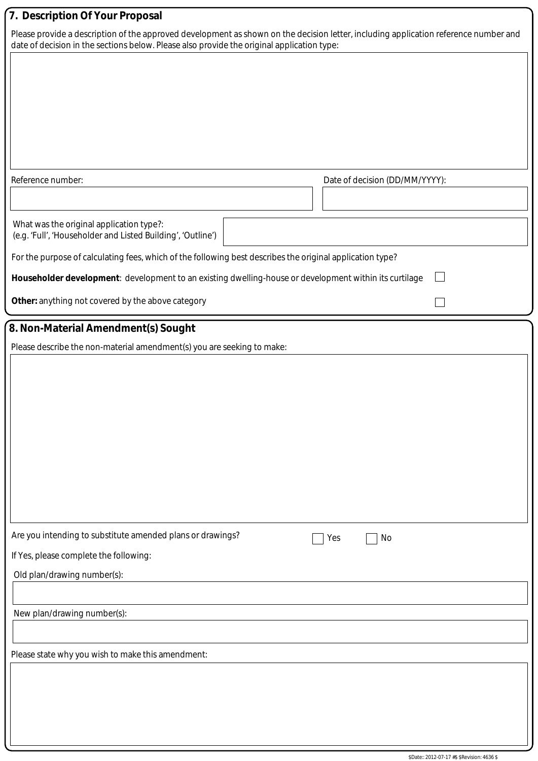| 7. Description Of Your Proposal                                                                                                                                                                                                    |                                |
|------------------------------------------------------------------------------------------------------------------------------------------------------------------------------------------------------------------------------------|--------------------------------|
| Please provide a description of the approved development as shown on the decision letter, including application reference number and<br>date of decision in the sections below. Please also provide the original application type: |                                |
|                                                                                                                                                                                                                                    |                                |
|                                                                                                                                                                                                                                    |                                |
|                                                                                                                                                                                                                                    |                                |
|                                                                                                                                                                                                                                    |                                |
|                                                                                                                                                                                                                                    |                                |
|                                                                                                                                                                                                                                    |                                |
| Reference number:                                                                                                                                                                                                                  | Date of decision (DD/MM/YYYY): |
|                                                                                                                                                                                                                                    |                                |
| What was the original application type?:<br>(e.g. 'Full', 'Householder and Listed Building', 'Outline')                                                                                                                            |                                |
| For the purpose of calculating fees, which of the following best describes the original application type?                                                                                                                          |                                |
| Householder development: development to an existing dwelling-house or development within its curtilage                                                                                                                             |                                |
| Other: anything not covered by the above category                                                                                                                                                                                  |                                |
| 8. Non-Material Amendment(s) Sought                                                                                                                                                                                                |                                |
| Please describe the non-material amendment(s) you are seeking to make:                                                                                                                                                             |                                |
|                                                                                                                                                                                                                                    |                                |
|                                                                                                                                                                                                                                    |                                |
|                                                                                                                                                                                                                                    |                                |
|                                                                                                                                                                                                                                    |                                |
|                                                                                                                                                                                                                                    |                                |
|                                                                                                                                                                                                                                    |                                |
|                                                                                                                                                                                                                                    |                                |
|                                                                                                                                                                                                                                    |                                |
| Are you intending to substitute amended plans or drawings?                                                                                                                                                                         | No<br>Yes                      |
| If Yes, please complete the following:                                                                                                                                                                                             |                                |
| Old plan/drawing number(s):                                                                                                                                                                                                        |                                |
|                                                                                                                                                                                                                                    |                                |
| New plan/drawing number(s):                                                                                                                                                                                                        |                                |
|                                                                                                                                                                                                                                    |                                |
| Please state why you wish to make this amendment:                                                                                                                                                                                  |                                |
|                                                                                                                                                                                                                                    |                                |
|                                                                                                                                                                                                                                    |                                |
|                                                                                                                                                                                                                                    |                                |
|                                                                                                                                                                                                                                    |                                |